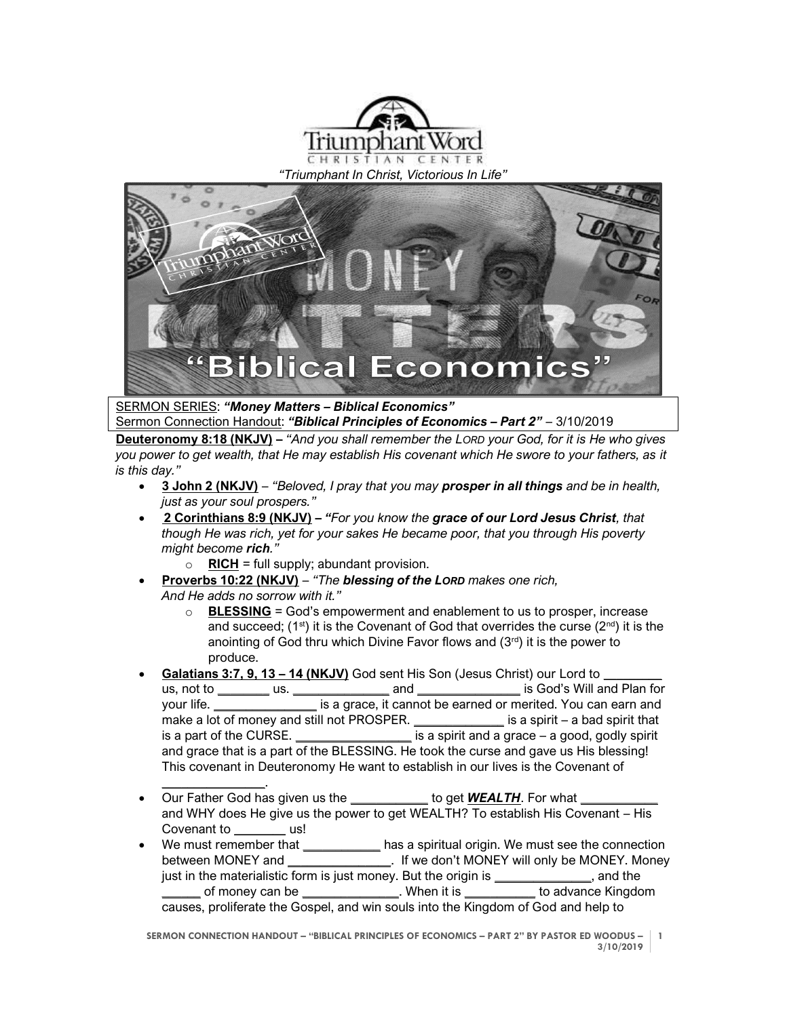

*"Triumphant In Christ, Victorious In Life"*



## SERMON SERIES: *"Money Matters – Biblical Economics"*

Sermon Connection Handout: *"Biblical Principles of Economics – Part 2"* – 3/10/2019 **Deuteronomy 8:18 (NKJV) –** *"And you shall remember the LORD your God, for it is He who gives you power to get wealth, that He may establish His covenant which He swore to your fathers, as it is this day."*

- **3 John 2 (NKJV)** *"Beloved, I pray that you may prosper in all things and be in health, just as your soul prospers."*
- **2 Corinthians 8:9 (NKJV) –** *"For you know the grace of our Lord Jesus Christ, that though He was rich, yet for your sakes He became poor, that you through His poverty might become rich."*
	- $\circ$  **RICH** = full supply; abundant provision.
- **Proverbs 10:22 (NKJV)** *"The blessing of the LORD makes one rich, And He adds no sorrow with it."*
	- $\circ$  **BLESSING** = God's empowerment and enablement to us to prosper, increase and succeed;  $(1^{st})$  it is the Covenant of God that overrides the curse  $(2^{nd})$  it is the anointing of God thru which Divine Favor flows and  $(3<sup>rd</sup>)$  it is the power to produce.
- **Galatians 3:7, 9, 13 – 14 (NKJV)** God sent His Son (Jesus Christ) our Lord to *\_\_\_\_\_\_\_\_\_* us, not to *\_\_\_\_\_\_\_\_* us. *\_\_\_\_\_\_\_\_\_\_\_\_\_\_\_* and *\_\_\_\_\_\_\_\_\_\_\_\_\_\_\_\_* is God's Will and Plan for your life. *\_\_\_\_\_\_\_\_\_\_\_\_\_\_\_\_* is a grace, it cannot be earned or merited. You can earn and make a lot of money and still not PROSPER. *\_\_\_\_\_\_\_\_\_\_\_\_\_\_* is a spirit – a bad spirit that is a part of the CURSE. *\_\_\_\_\_\_\_\_\_\_\_\_\_\_\_\_\_\_* is a spirit and a grace – a good, godly spirit and grace that is a part of the BLESSING. He took the curse and gave us His blessing! This covenant in Deuteronomy He want to establish in our lives is the Covenant of
- *\_\_\_\_\_\_\_\_\_\_\_\_\_\_\_\_*. Our Father God has given us the **\_\_\_\_\_\_\_\_\_\_\_\_** to get **WEALTH**. For what and WHY does He give us the power to get WEALTH? To establish His Covenant – His Covenant to **us!**
- We must remember that *\_\_\_\_\_\_\_\_\_\_\_\_* has a spiritual origin. We must see the connection between MONEY and **between MONEY and between MONEY. Money** just in the materialistic form is just money. But the origin is *\_\_\_\_\_\_\_\_\_\_\_\_\_\_\_*, and the *\_\_\_\_\_\_* of money can be *\_\_\_\_\_\_\_\_\_\_\_\_\_\_\_*. When it is *\_\_\_\_\_\_\_\_\_\_\_* to advance Kingdom causes, proliferate the Gospel, and win souls into the Kingdom of God and help to